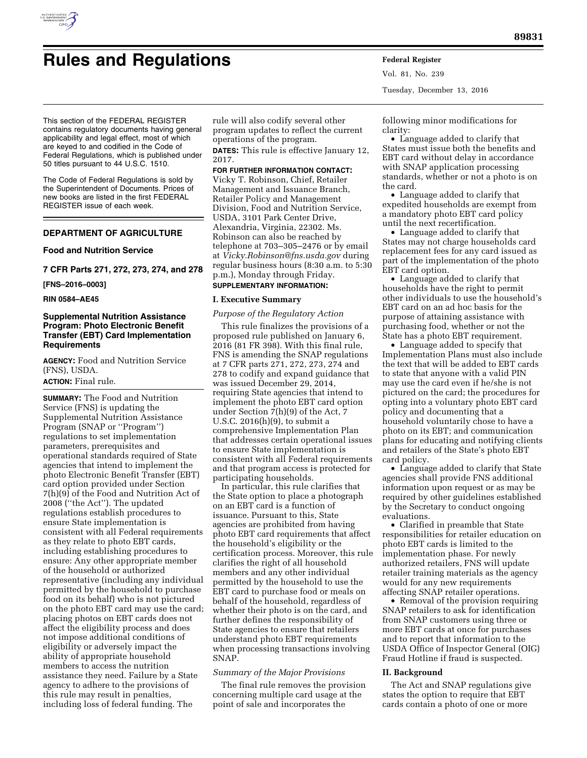

# **Rules and Regulations Federal Register**

Vol. 81, No. 239 Tuesday, December 13, 2016

This section of the FEDERAL REGISTER contains regulatory documents having general applicability and legal effect, most of which are keyed to and codified in the Code of Federal Regulations, which is published under 50 titles pursuant to 44 U.S.C. 1510.

The Code of Federal Regulations is sold by the Superintendent of Documents. Prices of new books are listed in the first FEDERAL REGISTER issue of each week.

## **DEPARTMENT OF AGRICULTURE**

## **Food and Nutrition Service**

**7 CFR Parts 271, 272, 273, 274, and 278** 

**[FNS–2016–0003]** 

**RIN 0584–AE45** 

# **Supplemental Nutrition Assistance Program: Photo Electronic Benefit Transfer (EBT) Card Implementation Requirements**

**AGENCY:** Food and Nutrition Service (FNS), USDA.

## **ACTION:** Final rule.

**SUMMARY:** The Food and Nutrition Service (FNS) is updating the Supplemental Nutrition Assistance Program (SNAP or ''Program'') regulations to set implementation parameters, prerequisites and operational standards required of State agencies that intend to implement the photo Electronic Benefit Transfer (EBT) card option provided under Section 7(h)(9) of the Food and Nutrition Act of 2008 (''the Act''). The updated regulations establish procedures to ensure State implementation is consistent with all Federal requirements as they relate to photo EBT cards, including establishing procedures to ensure: Any other appropriate member of the household or authorized representative (including any individual permitted by the household to purchase food on its behalf) who is not pictured on the photo EBT card may use the card; placing photos on EBT cards does not affect the eligibility process and does not impose additional conditions of eligibility or adversely impact the ability of appropriate household members to access the nutrition assistance they need. Failure by a State agency to adhere to the provisions of this rule may result in penalties, including loss of federal funding. The

rule will also codify several other program updates to reflect the current operations of the program.

**DATES:** This rule is effective January 12, 2017.

#### **FOR FURTHER INFORMATION CONTACT:**

Vicky T. Robinson, Chief, Retailer Management and Issuance Branch, Retailer Policy and Management Division, Food and Nutrition Service, USDA, 3101 Park Center Drive, Alexandria, Virginia, 22302. Ms. Robinson can also be reached by telephone at 703–305–2476 or by email at *[Vicky.Robinson@fns.usda.gov](mailto:Vicky.Robinson@fns.usda.gov)* during regular business hours (8:30 a.m. to 5:30 p.m.), Monday through Friday.

**SUPPLEMENTARY INFORMATION:** 

#### **I. Executive Summary**

## *Purpose of the Regulatory Action*

This rule finalizes the provisions of a proposed rule published on January 6, 2016 (81 FR 398). With this final rule, FNS is amending the SNAP regulations at 7 CFR parts 271, 272, 273, 274 and 278 to codify and expand guidance that was issued December 29, 2014, requiring State agencies that intend to implement the photo EBT card option under Section  $\overline{7}$ (h)(9) of the Act, 7 U.S.C. 2016(h)(9), to submit a comprehensive Implementation Plan that addresses certain operational issues to ensure State implementation is consistent with all Federal requirements and that program access is protected for participating households.

In particular, this rule clarifies that the State option to place a photograph on an EBT card is a function of issuance. Pursuant to this, State agencies are prohibited from having photo EBT card requirements that affect the household's eligibility or the certification process. Moreover, this rule clarifies the right of all household members and any other individual permitted by the household to use the EBT card to purchase food or meals on behalf of the household, regardless of whether their photo is on the card, and further defines the responsibility of State agencies to ensure that retailers understand photo EBT requirements when processing transactions involving SNAP.

## *Summary of the Major Provisions*

The final rule removes the provision concerning multiple card usage at the point of sale and incorporates the

following minor modifications for clarity:

• Language added to clarify that States must issue both the benefits and EBT card without delay in accordance with SNAP application processing standards, whether or not a photo is on the card.

• Language added to clarify that expedited households are exempt from a mandatory photo EBT card policy until the next recertification.

• Language added to clarify that States may not charge households card replacement fees for any card issued as part of the implementation of the photo EBT card option.

• Language added to clarify that households have the right to permit other individuals to use the household's EBT card on an ad hoc basis for the purpose of attaining assistance with purchasing food, whether or not the State has a photo EBT requirement.

• Language added to specify that Implementation Plans must also include the text that will be added to EBT cards to state that anyone with a valid PIN may use the card even if he/she is not pictured on the card; the procedures for opting into a voluntary photo EBT card policy and documenting that a household voluntarily chose to have a photo on its EBT; and communication plans for educating and notifying clients and retailers of the State's photo EBT card policy.

• Language added to clarify that State agencies shall provide FNS additional information upon request or as may be required by other guidelines established by the Secretary to conduct ongoing evaluations.

• Clarified in preamble that State responsibilities for retailer education on photo EBT cards is limited to the implementation phase. For newly authorized retailers, FNS will update retailer training materials as the agency would for any new requirements affecting SNAP retailer operations.

• Removal of the provision requiring SNAP retailers to ask for identification from SNAP customers using three or more EBT cards at once for purchases and to report that information to the USDA Office of Inspector General (OIG) Fraud Hotline if fraud is suspected.

#### **II. Background**

The Act and SNAP regulations give states the option to require that EBT cards contain a photo of one or more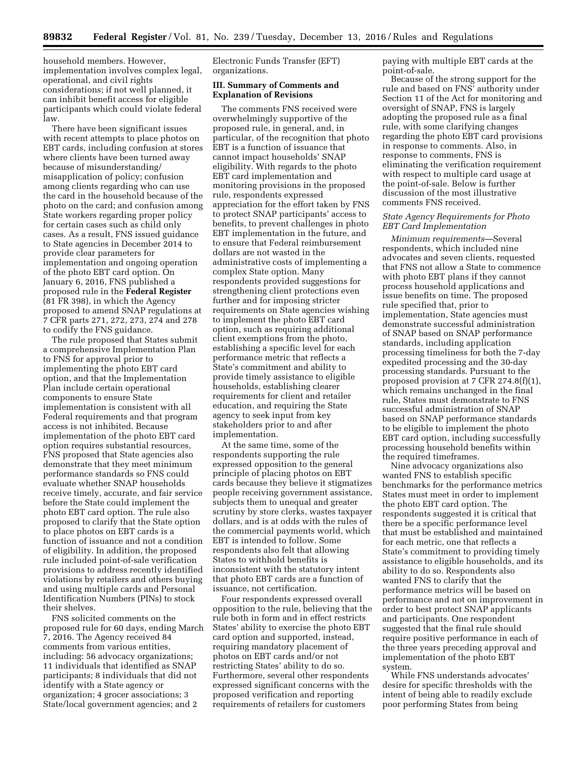household members. However, implementation involves complex legal, operational, and civil rights considerations; if not well planned, it can inhibit benefit access for eligible participants which could violate federal law.

There have been significant issues with recent attempts to place photos on EBT cards, including confusion at stores where clients have been turned away because of misunderstanding/ misapplication of policy; confusion among clients regarding who can use the card in the household because of the photo on the card; and confusion among State workers regarding proper policy for certain cases such as child only cases. As a result, FNS issued guidance to State agencies in December 2014 to provide clear parameters for implementation and ongoing operation of the photo EBT card option. On January 6, 2016, FNS published a proposed rule in the **Federal Register**  (81 FR 398), in which the Agency proposed to amend SNAP regulations at 7 CFR parts 271, 272, 273, 274 and 278 to codify the FNS guidance.

The rule proposed that States submit a comprehensive Implementation Plan to FNS for approval prior to implementing the photo EBT card option, and that the Implementation Plan include certain operational components to ensure State implementation is consistent with all Federal requirements and that program access is not inhibited. Because implementation of the photo EBT card option requires substantial resources, FNS proposed that State agencies also demonstrate that they meet minimum performance standards so FNS could evaluate whether SNAP households receive timely, accurate, and fair service before the State could implement the photo EBT card option. The rule also proposed to clarify that the State option to place photos on EBT cards is a function of issuance and not a condition of eligibility. In addition, the proposed rule included point-of-sale verification provisions to address recently identified violations by retailers and others buying and using multiple cards and Personal Identification Numbers (PINs) to stock their shelves.

FNS solicited comments on the proposed rule for 60 days, ending March 7, 2016. The Agency received 84 comments from various entities, including: 56 advocacy organizations; 11 individuals that identified as SNAP participants; 8 individuals that did not identify with a State agency or organization; 4 grocer associations; 3 State/local government agencies; and 2

Electronic Funds Transfer (EFT) organizations.

## **III. Summary of Comments and Explanation of Revisions**

The comments FNS received were overwhelmingly supportive of the proposed rule, in general, and, in particular, of the recognition that photo EBT is a function of issuance that cannot impact households' SNAP eligibility. With regards to the photo EBT card implementation and monitoring provisions in the proposed rule, respondents expressed appreciation for the effort taken by FNS to protect SNAP participants' access to benefits, to prevent challenges in photo EBT implementation in the future, and to ensure that Federal reimbursement dollars are not wasted in the administrative costs of implementing a complex State option. Many respondents provided suggestions for strengthening client protections even further and for imposing stricter requirements on State agencies wishing to implement the photo EBT card option, such as requiring additional client exemptions from the photo, establishing a specific level for each performance metric that reflects a State's commitment and ability to provide timely assistance to eligible households, establishing clearer requirements for client and retailer education, and requiring the State agency to seek input from key stakeholders prior to and after implementation.

At the same time, some of the respondents supporting the rule expressed opposition to the general principle of placing photos on EBT cards because they believe it stigmatizes people receiving government assistance, subjects them to unequal and greater scrutiny by store clerks, wastes taxpayer dollars, and is at odds with the rules of the commercial payments world, which EBT is intended to follow. Some respondents also felt that allowing States to withhold benefits is inconsistent with the statutory intent that photo EBT cards are a function of issuance, not certification.

Four respondents expressed overall opposition to the rule, believing that the rule both in form and in effect restricts States' ability to exercise the photo EBT card option and supported, instead, requiring mandatory placement of photos on EBT cards and/or not restricting States' ability to do so. Furthermore, several other respondents expressed significant concerns with the proposed verification and reporting requirements of retailers for customers

paying with multiple EBT cards at the point-of-sale.

Because of the strong support for the rule and based on FNS' authority under Section 11 of the Act for monitoring and oversight of SNAP, FNS is largely adopting the proposed rule as a final rule, with some clarifying changes regarding the photo EBT card provisions in response to comments. Also, in response to comments, FNS is eliminating the verification requirement with respect to multiple card usage at the point-of-sale. Below is further discussion of the most illustrative comments FNS received.

## *State Agency Requirements for Photo EBT Card Implementation*

*Minimum requirements*—Several respondents, which included nine advocates and seven clients, requested that FNS not allow a State to commence with photo EBT plans if they cannot process household applications and issue benefits on time. The proposed rule specified that, prior to implementation, State agencies must demonstrate successful administration of SNAP based on SNAP performance standards, including application processing timeliness for both the 7-day expedited processing and the 30-day processing standards. Pursuant to the proposed provision at 7 CFR 274.8(f)(1), which remains unchanged in the final rule, States must demonstrate to FNS successful administration of SNAP based on SNAP performance standards to be eligible to implement the photo EBT card option, including successfully processing household benefits within the required timeframes.

Nine advocacy organizations also wanted FNS to establish specific benchmarks for the performance metrics States must meet in order to implement the photo EBT card option. The respondents suggested it is critical that there be a specific performance level that must be established and maintained for each metric, one that reflects a State's commitment to providing timely assistance to eligible households, and its ability to do so. Respondents also wanted FNS to clarify that the performance metrics will be based on performance and not on improvement in order to best protect SNAP applicants and participants. One respondent suggested that the final rule should require positive performance in each of the three years preceding approval and implementation of the photo EBT system.

While FNS understands advocates' desire for specific thresholds with the intent of being able to readily exclude poor performing States from being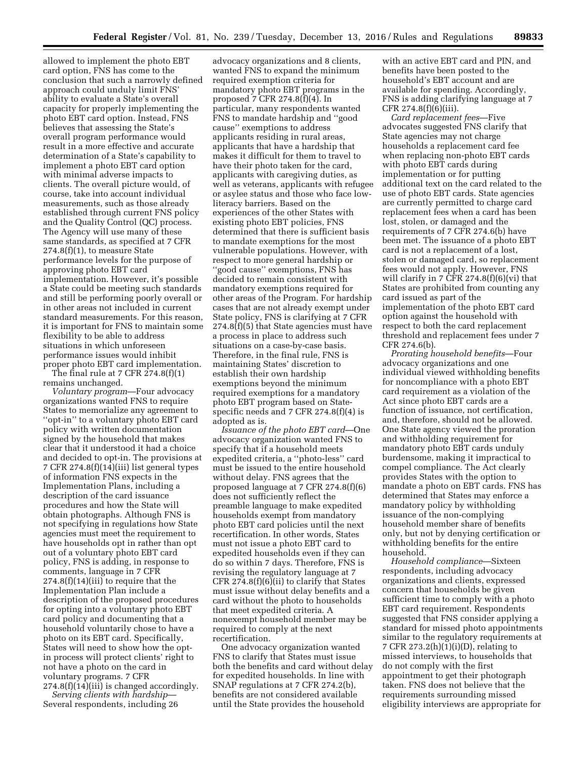allowed to implement the photo EBT card option, FNS has come to the conclusion that such a narrowly defined approach could unduly limit FNS' ability to evaluate a State's overall capacity for properly implementing the photo EBT card option. Instead, FNS believes that assessing the State's overall program performance would result in a more effective and accurate determination of a State's capability to implement a photo EBT card option with minimal adverse impacts to clients. The overall picture would, of course, take into account individual measurements, such as those already established through current FNS policy and the Quality Control (QC) process. The Agency will use many of these same standards, as specified at 7 CFR 274.8(f)(1), to measure State performance levels for the purpose of approving photo EBT card implementation. However, it's possible a State could be meeting such standards and still be performing poorly overall or in other areas not included in current standard measurements. For this reason, it is important for FNS to maintain some flexibility to be able to address situations in which unforeseen performance issues would inhibit proper photo EBT card implementation. The final rule at 7 CFR  $274.8(f)(1)$ 

remains unchanged.

*Voluntary program*—Four advocacy organizations wanted FNS to require States to memorialize any agreement to ''opt-in'' to a voluntary photo EBT card policy with written documentation signed by the household that makes clear that it understood it had a choice and decided to opt-in. The provisions at 7 CFR 274.8(f)(14)(iii) list general types of information FNS expects in the Implementation Plans, including a description of the card issuance procedures and how the State will obtain photographs. Although FNS is not specifying in regulations how State agencies must meet the requirement to have households opt in rather than opt out of a voluntary photo EBT card policy, FNS is adding, in response to comments, language in 7 CFR 274.8(f)(14)(iii) to require that the Implementation Plan include a description of the proposed procedures for opting into a voluntary photo EBT card policy and documenting that a household voluntarily chose to have a photo on its EBT card. Specifically, States will need to show how the optin process will protect clients' right to not have a photo on the card in voluntary programs. 7 CFR 274.8(f)(14)(iii) is changed accordingly.

*Serving clients with hardship*— Several respondents, including 26

advocacy organizations and 8 clients, wanted FNS to expand the minimum required exemption criteria for mandatory photo EBT programs in the proposed  $\overline{7}$  CFR 274.8( $\overline{f}$ )(4). In particular, many respondents wanted FNS to mandate hardship and ''good cause'' exemptions to address applicants residing in rural areas, applicants that have a hardship that makes it difficult for them to travel to have their photo taken for the card, applicants with caregiving duties, as well as veterans, applicants with refugee or asylee status and those who face lowliteracy barriers. Based on the experiences of the other States with existing photo EBT policies, FNS determined that there is sufficient basis to mandate exemptions for the most vulnerable populations. However, with respect to more general hardship or ''good cause'' exemptions, FNS has decided to remain consistent with mandatory exemptions required for other areas of the Program. For hardship cases that are not already exempt under State policy, FNS is clarifying at 7 CFR 274.8(f)(5) that State agencies must have a process in place to address such situations on a case-by-case basis. Therefore, in the final rule, FNS is maintaining States' discretion to establish their own hardship exemptions beyond the minimum required exemptions for a mandatory photo EBT program based on Statespecific needs and 7 CFR 274.8(f)(4) is adopted as is.

*Issuance of the photo EBT card*—One advocacy organization wanted FNS to specify that if a household meets expedited criteria, a ''photo-less'' card must be issued to the entire household without delay. FNS agrees that the proposed language at 7 CFR 274.8(f)(6) does not sufficiently reflect the preamble language to make expedited households exempt from mandatory photo EBT card policies until the next recertification. In other words, States must not issue a photo EBT card to expedited households even if they can do so within 7 days. Therefore, FNS is revising the regulatory language at 7 CFR 274.8(f)(6)(ii) to clarify that States must issue without delay benefits and a card without the photo to households that meet expedited criteria. A nonexempt household member may be required to comply at the next recertification.

One advocacy organization wanted FNS to clarify that States must issue both the benefits and card without delay for expedited households. In line with SNAP regulations at 7 CFR 274.2(b), benefits are not considered available until the State provides the household

with an active EBT card and PIN, and benefits have been posted to the household's EBT account and are available for spending. Accordingly, FNS is adding clarifying language at 7 CFR 274.8(f)(6)(iii).

*Card replacement fees*—Five advocates suggested FNS clarify that State agencies may not charge households a replacement card fee when replacing non-photo EBT cards with photo EBT cards during implementation or for putting additional text on the card related to the use of photo EBT cards. State agencies are currently permitted to charge card replacement fees when a card has been lost, stolen, or damaged and the requirements of 7 CFR 274.6(b) have been met. The issuance of a photo EBT card is not a replacement of a lost, stolen or damaged card, so replacement fees would not apply. However, FNS will clarify in 7 CFR 274.8(f)(6)(vi) that States are prohibited from counting any card issued as part of the implementation of the photo EBT card option against the household with respect to both the card replacement threshold and replacement fees under 7 CFR 274.6(b).

*Prorating household benefits*—Four advocacy organizations and one individual viewed withholding benefits for noncompliance with a photo EBT card requirement as a violation of the Act since photo EBT cards are a function of issuance, not certification, and, therefore, should not be allowed. One State agency viewed the proration and withholding requirement for mandatory photo EBT cards unduly burdensome, making it impractical to compel compliance. The Act clearly provides States with the option to mandate a photo on EBT cards. FNS has determined that States may enforce a mandatory policy by withholding issuance of the non-complying household member share of benefits only, but not by denying certification or withholding benefits for the entire household.

*Household compliance*—Sixteen respondents, including advocacy organizations and clients, expressed concern that households be given sufficient time to comply with a photo EBT card requirement. Respondents suggested that FNS consider applying a standard for missed photo appointments similar to the regulatory requirements at 7 CFR 273.2(h)(1)(i)(D), relating to missed interviews, to households that do not comply with the first appointment to get their photograph taken. FNS does not believe that the requirements surrounding missed eligibility interviews are appropriate for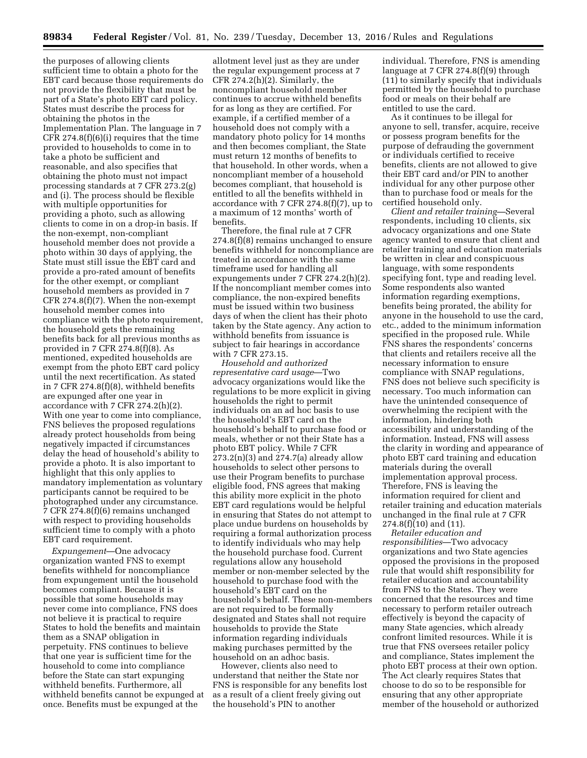the purposes of allowing clients sufficient time to obtain a photo for the EBT card because those requirements do not provide the flexibility that must be part of a State's photo EBT card policy. States must describe the process for obtaining the photos in the Implementation Plan. The language in 7 CFR 274.8(f)(6)(i) requires that the time provided to households to come in to take a photo be sufficient and reasonable, and also specifies that obtaining the photo must not impact processing standards at 7 CFR 273.2(g) and (i). The process should be flexible with multiple opportunities for providing a photo, such as allowing clients to come in on a drop-in basis. If the non-exempt, non-compliant household member does not provide a photo within 30 days of applying, the State must still issue the EBT card and provide a pro-rated amount of benefits for the other exempt, or compliant household members as provided in 7 CFR 274.8(f)(7). When the non-exempt household member comes into compliance with the photo requirement, the household gets the remaining benefits back for all previous months as provided in 7 CFR 274.8(f)(8). As mentioned, expedited households are exempt from the photo EBT card policy until the next recertification. As stated in 7 CFR 274.8(f)(8), withheld benefits are expunged after one year in accordance with 7 CFR 274.2(h)(2). With one year to come into compliance, FNS believes the proposed regulations already protect households from being negatively impacted if circumstances delay the head of household's ability to provide a photo. It is also important to highlight that this only applies to mandatory implementation as voluntary participants cannot be required to be photographed under any circumstance. 7 CFR 274.8(f)(6) remains unchanged with respect to providing households sufficient time to comply with a photo EBT card requirement.

*Expungement*—One advocacy organization wanted FNS to exempt benefits withheld for noncompliance from expungement until the household becomes compliant. Because it is possible that some households may never come into compliance, FNS does not believe it is practical to require States to hold the benefits and maintain them as a SNAP obligation in perpetuity. FNS continues to believe that one year is sufficient time for the household to come into compliance before the State can start expunging withheld benefits. Furthermore, all withheld benefits cannot be expunged at once. Benefits must be expunged at the

allotment level just as they are under the regular expungement process at 7 CFR 274.2(h)(2). Similarly, the noncompliant household member continues to accrue withheld benefits for as long as they are certified. For example, if a certified member of a household does not comply with a mandatory photo policy for 14 months and then becomes compliant, the State must return 12 months of benefits to that household. In other words, when a noncompliant member of a household becomes compliant, that household is entitled to all the benefits withheld in accordance with 7 CFR  $274.8(f)(7)$ , up to a maximum of 12 months' worth of benefits.

Therefore, the final rule at 7 CFR 274.8(f)(8) remains unchanged to ensure benefits withheld for noncompliance are treated in accordance with the same timeframe used for handling all expungements under 7 CFR 274.2(h)(2). If the noncompliant member comes into compliance, the non-expired benefits must be issued within two business days of when the client has their photo taken by the State agency. Any action to withhold benefits from issuance is subject to fair hearings in accordance with 7 CFR 273.15.

*Household and authorized representative card usage*—Two advocacy organizations would like the regulations to be more explicit in giving households the right to permit individuals on an ad hoc basis to use the household's EBT card on the household's behalf to purchase food or meals, whether or not their State has a photo EBT policy. While 7 CFR 273.2(n)(3) and 274.7(a) already allow households to select other persons to use their Program benefits to purchase eligible food, FNS agrees that making this ability more explicit in the photo EBT card regulations would be helpful in ensuring that States do not attempt to place undue burdens on households by requiring a formal authorization process to identify individuals who may help the household purchase food. Current regulations allow any household member or non-member selected by the household to purchase food with the household's EBT card on the household's behalf. These non-members are not required to be formally designated and States shall not require households to provide the State information regarding individuals making purchases permitted by the household on an adhoc basis.

However, clients also need to understand that neither the State nor FNS is responsible for any benefits lost as a result of a client freely giving out the household's PIN to another

individual. Therefore, FNS is amending language at 7 CFR 274.8(f)(9) through (11) to similarly specify that individuals permitted by the household to purchase food or meals on their behalf are entitled to use the card.

As it continues to be illegal for anyone to sell, transfer, acquire, receive or possess program benefits for the purpose of defrauding the government or individuals certified to receive benefits, clients are not allowed to give their EBT card and/or PIN to another individual for any other purpose other than to purchase food or meals for the certified household only.

*Client and retailer training—*Several respondents, including 10 clients, six advocacy organizations and one State agency wanted to ensure that client and retailer training and education materials be written in clear and conspicuous language, with some respondents specifying font, type and reading level. Some respondents also wanted information regarding exemptions, benefits being prorated, the ability for anyone in the household to use the card, etc., added to the minimum information specified in the proposed rule. While FNS shares the respondents' concerns that clients and retailers receive all the necessary information to ensure compliance with SNAP regulations, FNS does not believe such specificity is necessary. Too much information can have the unintended consequence of overwhelming the recipient with the information, hindering both accessibility and understanding of the information. Instead, FNS will assess the clarity in wording and appearance of photo EBT card training and education materials during the overall implementation approval process. Therefore, FNS is leaving the information required for client and retailer training and education materials unchanged in the final rule at 7 CFR 274.8(f)(10) and (11).

*Retailer education and responsibilities*—Two advocacy organizations and two State agencies opposed the provisions in the proposed rule that would shift responsibility for retailer education and accountability from FNS to the States. They were concerned that the resources and time necessary to perform retailer outreach effectively is beyond the capacity of many State agencies, which already confront limited resources. While it is true that FNS oversees retailer policy and compliance, States implement the photo EBT process at their own option. The Act clearly requires States that choose to do so to be responsible for ensuring that any other appropriate member of the household or authorized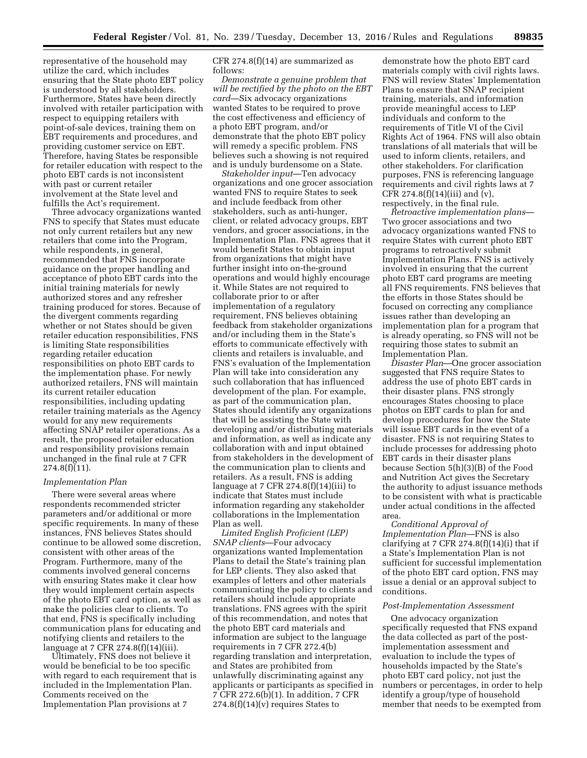representative of the household may utilize the card, which includes ensuring that the State photo EBT policy is understood by all stakeholders. Furthermore, States have been directly involved with retailer participation with respect to equipping retailers with point-of-sale devices, training them on EBT requirements and procedures, and providing customer service on EBT. Therefore, having States be responsible for retailer education with respect to the photo EBT cards is not inconsistent with past or current retailer involvement at the State level and fulfills the Act's requirement.

Three advocacy organizations wanted FNS to specify that States must educate not only current retailers but any new retailers that come into the Program, while respondents, in general, recommended that FNS incorporate guidance on the proper handling and acceptance of photo EBT cards into the initial training materials for newly authorized stores and any refresher training produced for stores. Because of the divergent comments regarding whether or not States should be given retailer education responsibilities, FNS is limiting State responsibilities regarding retailer education responsibilities on photo EBT cards to the implementation phase. For newly authorized retailers, FNS will maintain its current retailer education responsibilities, including updating retailer training materials as the Agency would for any new requirements affecting SNAP retailer operations. As a result, the proposed retailer education and responsibility provisions remain unchanged in the final rule at 7 CFR 274.8(f)(11).

#### *Implementation Plan*

There were several areas where respondents recommended stricter parameters and/or additional or more specific requirements. In many of these instances, FNS believes States should continue to be allowed some discretion, consistent with other areas of the Program. Furthermore, many of the comments involved general concerns with ensuring States make it clear how they would implement certain aspects of the photo EBT card option, as well as make the policies clear to clients. To that end, FNS is specifically including communication plans for educating and notifying clients and retailers to the language at 7 CFR 274.8(f)(14)(iii).

Ultimately, FNS does not believe it would be beneficial to be too specific with regard to each requirement that is included in the Implementation Plan. Comments received on the Implementation Plan provisions at 7

CFR 274.8(f)(14) are summarized as follows:

*Demonstrate a genuine problem that will be rectified by the photo on the EBT card*—Six advocacy organizations wanted States to be required to prove the cost effectiveness and efficiency of a photo EBT program, and/or demonstrate that the photo EBT policy will remedy a specific problem. FNS believes such a showing is not required and is unduly burdensome on a State.

*Stakeholder input*—Ten advocacy organizations and one grocer association wanted FNS to require States to seek and include feedback from other stakeholders, such as anti-hunger, client, or related advocacy groups, EBT vendors, and grocer associations, in the Implementation Plan. FNS agrees that it would benefit States to obtain input from organizations that might have further insight into on-the-ground operations and would highly encourage it. While States are not required to collaborate prior to or after implementation of a regulatory requirement, FNS believes obtaining feedback from stakeholder organizations and/or including them in the State's efforts to communicate effectively with clients and retailers is invaluable, and FNS's evaluation of the Implementation Plan will take into consideration any such collaboration that has influenced development of the plan. For example, as part of the communication plan, States should identify any organizations that will be assisting the State with developing and/or distributing materials and information, as well as indicate any collaboration with and input obtained from stakeholders in the development of the communication plan to clients and retailers. As a result, FNS is adding language at 7 CFR  $274.8(f)(14)(iii)$  to indicate that States must include information regarding any stakeholder collaborations in the Implementation Plan as well.

*Limited English Proficient (LEP) SNAP clients*—Four advocacy organizations wanted Implementation Plans to detail the State's training plan for LEP clients. They also asked that examples of letters and other materials communicating the policy to clients and retailers should include appropriate translations. FNS agrees with the spirit of this recommendation, and notes that the photo EBT card materials and information are subject to the language requirements in 7 CFR 272.4(b) regarding translation and interpretation, and States are prohibited from unlawfully discriminating against any applicants or participants as specified in 7 CFR 272.6(b)(1). In addition, 7 CFR  $274.8(f)(14)(v)$  requires States to

demonstrate how the photo EBT card materials comply with civil rights laws. FNS will review States' Implementation Plans to ensure that SNAP recipient training, materials, and information provide meaningful access to LEP individuals and conform to the requirements of Title VI of the Civil Rights Act of 1964. FNS will also obtain translations of all materials that will be used to inform clients, retailers, and other stakeholders. For clarification purposes, FNS is referencing language requirements and civil rights laws at 7 CFR 274.8(f)(14)(iii) and (v), respectively, in the final rule.

*Retroactive implementation plans*— Two grocer associations and two advocacy organizations wanted FNS to require States with current photo EBT programs to retroactively submit Implementation Plans. FNS is actively involved in ensuring that the current photo EBT card programs are meeting all FNS requirements. FNS believes that the efforts in those States should be focused on correcting any compliance issues rather than developing an implementation plan for a program that is already operating, so FNS will not be requiring those states to submit an Implementation Plan.

*Disaster Plan*—One grocer association suggested that FNS require States to address the use of photo EBT cards in their disaster plans. FNS strongly encourages States choosing to place photos on EBT cards to plan for and develop procedures for how the State will issue EBT cards in the event of a disaster. FNS is not requiring States to include processes for addressing photo EBT cards in their disaster plans because Section 5(h)(3)(B) of the Food and Nutrition Act gives the Secretary the authority to adjust issuance methods to be consistent with what is practicable under actual conditions in the affected area.

*Conditional Approval of Implementation Plan*—FNS is also clarifying at 7 CFR  $274.8(f)(14)(i)$  that if a State's Implementation Plan is not sufficient for successful implementation of the photo EBT card option, FNS may issue a denial or an approval subject to conditions.

#### *Post-Implementation Assessment*

One advocacy organization specifically requested that FNS expand the data collected as part of the postimplementation assessment and evaluation to include the types of households impacted by the State's photo EBT card policy, not just the numbers or percentages, in order to help identify a group/type of household member that needs to be exempted from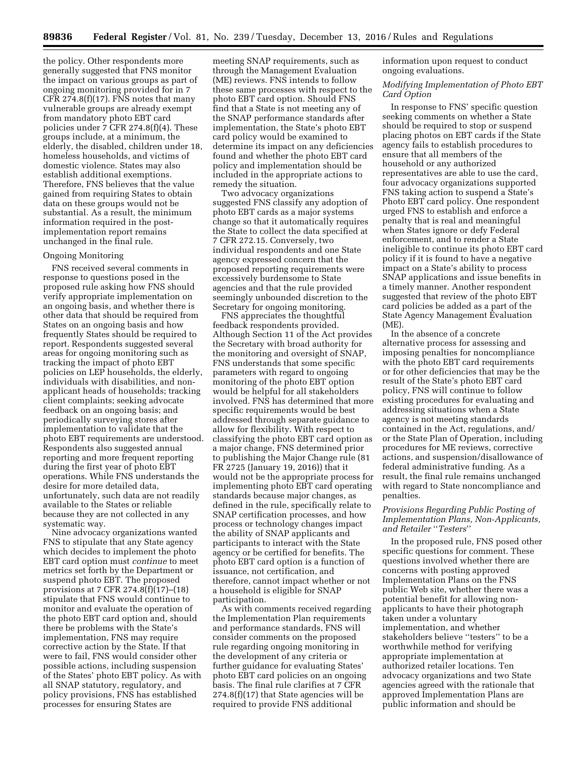the policy. Other respondents more generally suggested that FNS monitor the impact on various groups as part of ongoing monitoring provided for in 7 CFR  $274.8(f)(17)$ . FNS notes that many vulnerable groups are already exempt from mandatory photo EBT card policies under 7 CFR 274.8(f)(4). These groups include, at a minimum, the elderly, the disabled, children under 18, homeless households, and victims of domestic violence. States may also establish additional exemptions. Therefore, FNS believes that the value gained from requiring States to obtain data on these groups would not be substantial. As a result, the minimum information required in the postimplementation report remains unchanged in the final rule.

## Ongoing Monitoring

FNS received several comments in response to questions posed in the proposed rule asking how FNS should verify appropriate implementation on an ongoing basis, and whether there is other data that should be required from States on an ongoing basis and how frequently States should be required to report. Respondents suggested several areas for ongoing monitoring such as tracking the impact of photo EBT policies on LEP households, the elderly, individuals with disabilities, and nonapplicant heads of households; tracking client complaints; seeking advocate feedback on an ongoing basis; and periodically surveying stores after implementation to validate that the photo EBT requirements are understood. Respondents also suggested annual reporting and more frequent reporting during the first year of photo EBT operations. While FNS understands the desire for more detailed data, unfortunately, such data are not readily available to the States or reliable because they are not collected in any systematic way.

Nine advocacy organizations wanted FNS to stipulate that any State agency which decides to implement the photo EBT card option must *continue* to meet metrics set forth by the Department or suspend photo EBT. The proposed provisions at 7 CFR 274.8(f)(17)–(18) stipulate that FNS would continue to monitor and evaluate the operation of the photo EBT card option and, should there be problems with the State's implementation, FNS may require corrective action by the State. If that were to fail, FNS would consider other possible actions, including suspension of the States' photo EBT policy. As with all SNAP statutory, regulatory, and policy provisions, FNS has established processes for ensuring States are

meeting SNAP requirements, such as through the Management Evaluation (ME) reviews. FNS intends to follow these same processes with respect to the photo EBT card option. Should FNS find that a State is not meeting any of the SNAP performance standards after implementation, the State's photo EBT card policy would be examined to determine its impact on any deficiencies found and whether the photo EBT card policy and implementation should be included in the appropriate actions to remedy the situation.

Two advocacy organizations suggested FNS classify any adoption of photo EBT cards as a major systems change so that it automatically requires the State to collect the data specified at 7 CFR 272.15. Conversely, two individual respondents and one State agency expressed concern that the proposed reporting requirements were excessively burdensome to State agencies and that the rule provided seemingly unbounded discretion to the Secretary for ongoing monitoring.

FNS appreciates the thoughtful feedback respondents provided. Although Section 11 of the Act provides the Secretary with broad authority for the monitoring and oversight of SNAP, FNS understands that some specific parameters with regard to ongoing monitoring of the photo EBT option would be helpful for all stakeholders involved. FNS has determined that more specific requirements would be best addressed through separate guidance to allow for flexibility. With respect to classifying the photo EBT card option as a major change, FNS determined prior to publishing the Major Change rule (81 FR 2725 (January 19, 2016)) that it would not be the appropriate process for implementing photo EBT card operating standards because major changes, as defined in the rule, specifically relate to SNAP certification processes, and how process or technology changes impact the ability of SNAP applicants and participants to interact with the State agency or be certified for benefits. The photo EBT card option is a function of issuance, not certification, and therefore, cannot impact whether or not a household is eligible for SNAP participation.

As with comments received regarding the Implementation Plan requirements and performance standards, FNS will consider comments on the proposed rule regarding ongoing monitoring in the development of any criteria or further guidance for evaluating States' photo EBT card policies on an ongoing basis. The final rule clarifies at 7 CFR 274.8(f)(17) that State agencies will be required to provide FNS additional

information upon request to conduct ongoing evaluations.

## *Modifying Implementation of Photo EBT Card Option*

In response to FNS' specific question seeking comments on whether a State should be required to stop or suspend placing photos on EBT cards if the State agency fails to establish procedures to ensure that all members of the household or any authorized representatives are able to use the card, four advocacy organizations supported FNS taking action to suspend a State's Photo EBT card policy. One respondent urged FNS to establish and enforce a penalty that is real and meaningful when States ignore or defy Federal enforcement, and to render a State ineligible to continue its photo EBT card policy if it is found to have a negative impact on a State's ability to process SNAP applications and issue benefits in a timely manner. Another respondent suggested that review of the photo EBT card policies be added as a part of the State Agency Management Evaluation (ME).

In the absence of a concrete alternative process for assessing and imposing penalties for noncompliance with the photo EBT card requirements or for other deficiencies that may be the result of the State's photo EBT card policy, FNS will continue to follow existing procedures for evaluating and addressing situations when a State agency is not meeting standards contained in the Act, regulations, and/ or the State Plan of Operation, including procedures for ME reviews, corrective actions, and suspension/disallowance of federal administrative funding. As a result, the final rule remains unchanged with regard to State noncompliance and penalties.

## *Provisions Regarding Public Posting of Implementation Plans, Non-Applicants, and Retailer* ''*Testers*''

In the proposed rule, FNS posed other specific questions for comment. These questions involved whether there are concerns with posting approved Implementation Plans on the FNS public Web site, whether there was a potential benefit for allowing nonapplicants to have their photograph taken under a voluntary implementation, and whether stakeholders believe ''testers'' to be a worthwhile method for verifying appropriate implementation at authorized retailer locations. Ten advocacy organizations and two State agencies agreed with the rationale that approved Implementation Plans are public information and should be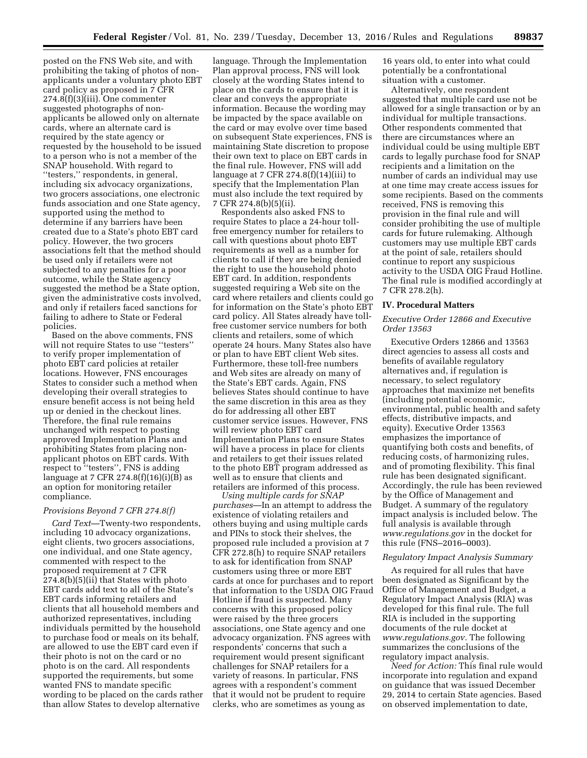posted on the FNS Web site, and with prohibiting the taking of photos of nonapplicants under a voluntary photo EBT card policy as proposed in 7 CFR 274.8(f)(3)(iii). One commenter suggested photographs of nonapplicants be allowed only on alternate cards, where an alternate card is required by the state agency or requested by the household to be issued to a person who is not a member of the SNAP household. With regard to ''testers,'' respondents, in general, including six advocacy organizations, two grocers associations, one electronic funds association and one State agency, supported using the method to determine if any barriers have been created due to a State's photo EBT card policy. However, the two grocers associations felt that the method should be used only if retailers were not subjected to any penalties for a poor outcome, while the State agency suggested the method be a State option, given the administrative costs involved, and only if retailers faced sanctions for failing to adhere to State or Federal policies.

Based on the above comments, FNS will not require States to use ''testers'' to verify proper implementation of photo EBT card policies at retailer locations. However, FNS encourages States to consider such a method when developing their overall strategies to ensure benefit access is not being held up or denied in the checkout lines. Therefore, the final rule remains unchanged with respect to posting approved Implementation Plans and prohibiting States from placing nonapplicant photos on EBT cards. With respect to "testers", FNS is adding language at 7 CFR  $274.8(f)(16)(i)(B)$  as an option for monitoring retailer compliance.

## *Provisions Beyond 7 CFR 274.8(f)*

*Card Text*—Twenty-two respondents, including 10 advocacy organizations, eight clients, two grocers associations, one individual, and one State agency, commented with respect to the proposed requirement at 7 CFR 274.8(b)(5)(ii) that States with photo EBT cards add text to all of the State's EBT cards informing retailers and clients that all household members and authorized representatives, including individuals permitted by the household to purchase food or meals on its behalf, are allowed to use the EBT card even if their photo is not on the card or no photo is on the card. All respondents supported the requirements, but some wanted FNS to mandate specific wording to be placed on the cards rather than allow States to develop alternative

language. Through the Implementation Plan approval process, FNS will look closely at the wording States intend to place on the cards to ensure that it is clear and conveys the appropriate information. Because the wording may be impacted by the space available on the card or may evolve over time based on subsequent State experiences, FNS is maintaining State discretion to propose their own text to place on EBT cards in the final rule. However, FNS will add language at 7 CFR 274.8(f)(14)(iii) to specify that the Implementation Plan must also include the text required by 7 CFR 274.8(b)(5)(ii).

Respondents also asked FNS to require States to place a 24-hour tollfree emergency number for retailers to call with questions about photo EBT requirements as well as a number for clients to call if they are being denied the right to use the household photo EBT card. In addition, respondents suggested requiring a Web site on the card where retailers and clients could go for information on the State's photo EBT card policy. All States already have tollfree customer service numbers for both clients and retailers, some of which operate 24 hours. Many States also have or plan to have EBT client Web sites. Furthermore, these toll-free numbers and Web sites are already on many of the State's EBT cards. Again, FNS believes States should continue to have the same discretion in this area as they do for addressing all other EBT customer service issues. However, FNS will review photo EBT card Implementation Plans to ensure States will have a process in place for clients and retailers to get their issues related to the photo EBT program addressed as well as to ensure that clients and retailers are informed of this process.

*Using multiple cards for SNAP purchases*—In an attempt to address the existence of violating retailers and others buying and using multiple cards and PINs to stock their shelves, the proposed rule included a provision at 7 CFR 272.8(h) to require SNAP retailers to ask for identification from SNAP customers using three or more EBT cards at once for purchases and to report that information to the USDA OIG Fraud Hotline if fraud is suspected. Many concerns with this proposed policy were raised by the three grocers associations, one State agency and one advocacy organization. FNS agrees with respondents' concerns that such a requirement would present significant challenges for SNAP retailers for a variety of reasons. In particular, FNS agrees with a respondent's comment that it would not be prudent to require clerks, who are sometimes as young as

16 years old, to enter into what could potentially be a confrontational situation with a customer.

Alternatively, one respondent suggested that multiple card use not be allowed for a single transaction or by an individual for multiple transactions. Other respondents commented that there are circumstances where an individual could be using multiple EBT cards to legally purchase food for SNAP recipients and a limitation on the number of cards an individual may use at one time may create access issues for some recipients. Based on the comments received, FNS is removing this provision in the final rule and will consider prohibiting the use of multiple cards for future rulemaking. Although customers may use multiple EBT cards at the point of sale, retailers should continue to report any suspicious activity to the USDA OIG Fraud Hotline. The final rule is modified accordingly at 7 CFR 278.2(h).

#### **IV. Procedural Matters**

## *Executive Order 12866 and Executive Order 13563*

Executive Orders 12866 and 13563 direct agencies to assess all costs and benefits of available regulatory alternatives and, if regulation is necessary, to select regulatory approaches that maximize net benefits (including potential economic, environmental, public health and safety effects, distributive impacts, and equity). Executive Order 13563 emphasizes the importance of quantifying both costs and benefits, of reducing costs, of harmonizing rules, and of promoting flexibility. This final rule has been designated significant. Accordingly, the rule has been reviewed by the Office of Management and Budget. A summary of the regulatory impact analysis is included below. The full analysis is available through *[www.regulations.gov](http://www.regulations.gov)* in the docket for this rule (FNS–2016–0003).

#### *Regulatory Impact Analysis Summary*

As required for all rules that have been designated as Significant by the Office of Management and Budget, a Regulatory Impact Analysis (RIA) was developed for this final rule. The full RIA is included in the supporting documents of the rule docket at *[www.regulations.gov.](http://www.regulations.gov)* The following summarizes the conclusions of the regulatory impact analysis.

*Need for Action:* This final rule would incorporate into regulation and expand on guidance that was issued December 29, 2014 to certain State agencies. Based on observed implementation to date,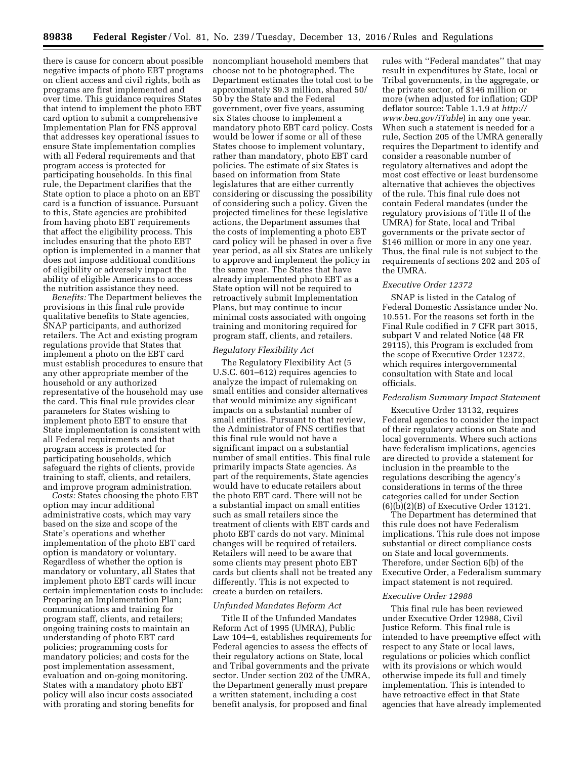there is cause for concern about possible negative impacts of photo EBT programs on client access and civil rights, both as programs are first implemented and over time. This guidance requires States that intend to implement the photo EBT card option to submit a comprehensive Implementation Plan for FNS approval that addresses key operational issues to ensure State implementation complies with all Federal requirements and that program access is protected for participating households. In this final rule, the Department clarifies that the State option to place a photo on an EBT card is a function of issuance. Pursuant to this, State agencies are prohibited from having photo EBT requirements that affect the eligibility process. This includes ensuring that the photo EBT option is implemented in a manner that does not impose additional conditions of eligibility or adversely impact the ability of eligible Americans to access the nutrition assistance they need.

*Benefits:* The Department believes the provisions in this final rule provide qualitative benefits to State agencies, SNAP participants, and authorized retailers. The Act and existing program regulations provide that States that implement a photo on the EBT card must establish procedures to ensure that any other appropriate member of the household or any authorized representative of the household may use the card. This final rule provides clear parameters for States wishing to implement photo EBT to ensure that State implementation is consistent with all Federal requirements and that program access is protected for participating households, which safeguard the rights of clients, provide training to staff, clients, and retailers, and improve program administration.

*Costs:* States choosing the photo EBT option may incur additional administrative costs, which may vary based on the size and scope of the State's operations and whether implementation of the photo EBT card option is mandatory or voluntary. Regardless of whether the option is mandatory or voluntary, all States that implement photo EBT cards will incur certain implementation costs to include: Preparing an Implementation Plan; communications and training for program staff, clients, and retailers; ongoing training costs to maintain an understanding of photo EBT card policies; programming costs for mandatory policies; and costs for the post implementation assessment, evaluation and on-going monitoring. States with a mandatory photo EBT policy will also incur costs associated with prorating and storing benefits for

noncompliant household members that choose not to be photographed. The Department estimates the total cost to be approximately \$9.3 million, shared 50/ 50 by the State and the Federal government, over five years, assuming six States choose to implement a mandatory photo EBT card policy. Costs would be lower if some or all of these States choose to implement voluntary, rather than mandatory, photo EBT card policies. The estimate of six States is based on information from State legislatures that are either currently considering or discussing the possibility of considering such a policy. Given the projected timelines for these legislative actions, the Department assumes that the costs of implementing a photo EBT card policy will be phased in over a five year period, as all six States are unlikely to approve and implement the policy in the same year. The States that have already implemented photo EBT as a State option will not be required to retroactively submit Implementation Plans, but may continue to incur minimal costs associated with ongoing training and monitoring required for program staff, clients, and retailers.

#### *Regulatory Flexibility Act*

The Regulatory Flexibility Act (5 U.S.C. 601–612) requires agencies to analyze the impact of rulemaking on small entities and consider alternatives that would minimize any significant impacts on a substantial number of small entities. Pursuant to that review, the Administrator of FNS certifies that this final rule would not have a significant impact on a substantial number of small entities. This final rule primarily impacts State agencies. As part of the requirements, State agencies would have to educate retailers about the photo EBT card. There will not be a substantial impact on small entities such as small retailers since the treatment of clients with EBT cards and photo EBT cards do not vary. Minimal changes will be required of retailers. Retailers will need to be aware that some clients may present photo EBT cards but clients shall not be treated any differently. This is not expected to create a burden on retailers.

#### *Unfunded Mandates Reform Act*

Title II of the Unfunded Mandates Reform Act of 1995 (UMRA), Public Law 104–4, establishes requirements for Federal agencies to assess the effects of their regulatory actions on State, local and Tribal governments and the private sector. Under section 202 of the UMRA, the Department generally must prepare a written statement, including a cost benefit analysis, for proposed and final

rules with ''Federal mandates'' that may result in expenditures by State, local or Tribal governments, in the aggregate, or the private sector, of \$146 million or more (when adjusted for inflation; GDP deflator source: Table 1.1.9 at *[http://](http://www.bea.gov/iTable)  [www.bea.gov/iTable](http://www.bea.gov/iTable)*) in any one year. When such a statement is needed for a rule, Section 205 of the UMRA generally requires the Department to identify and consider a reasonable number of regulatory alternatives and adopt the most cost effective or least burdensome alternative that achieves the objectives of the rule. This final rule does not contain Federal mandates (under the regulatory provisions of Title II of the UMRA) for State, local and Tribal governments or the private sector of \$146 million or more in any one year. Thus, the final rule is not subject to the requirements of sections 202 and 205 of the UMRA.

#### *Executive Order 12372*

SNAP is listed in the Catalog of Federal Domestic Assistance under No. 10.551. For the reasons set forth in the Final Rule codified in 7 CFR part 3015, subpart V and related Notice (48 FR 29115), this Program is excluded from the scope of Executive Order 12372, which requires intergovernmental consultation with State and local officials.

#### *Federalism Summary Impact Statement*

Executive Order 13132, requires Federal agencies to consider the impact of their regulatory actions on State and local governments. Where such actions have federalism implications, agencies are directed to provide a statement for inclusion in the preamble to the regulations describing the agency's considerations in terms of the three categories called for under Section (6)(b)(2)(B) of Executive Order 13121.

The Department has determined that this rule does not have Federalism implications. This rule does not impose substantial or direct compliance costs on State and local governments. Therefore, under Section 6(b) of the Executive Order, a Federalism summary impact statement is not required.

### *Executive Order 12988*

This final rule has been reviewed under Executive Order 12988, Civil Justice Reform. This final rule is intended to have preemptive effect with respect to any State or local laws, regulations or policies which conflict with its provisions or which would otherwise impede its full and timely implementation. This is intended to have retroactive effect in that State agencies that have already implemented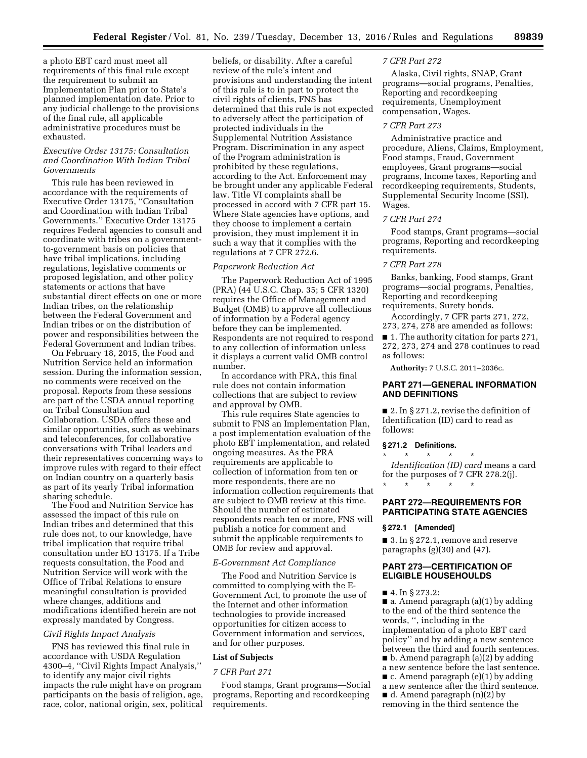a photo EBT card must meet all requirements of this final rule except the requirement to submit an Implementation Plan prior to State's planned implementation date. Prior to any judicial challenge to the provisions of the final rule, all applicable administrative procedures must be exhausted.

## *Executive Order 13175: Consultation and Coordination With Indian Tribal Governments*

This rule has been reviewed in accordance with the requirements of Executive Order 13175, ''Consultation and Coordination with Indian Tribal Governments.'' Executive Order 13175 requires Federal agencies to consult and coordinate with tribes on a governmentto-government basis on policies that have tribal implications, including regulations, legislative comments or proposed legislation, and other policy statements or actions that have substantial direct effects on one or more Indian tribes, on the relationship between the Federal Government and Indian tribes or on the distribution of power and responsibilities between the Federal Government and Indian tribes.

On February 18, 2015, the Food and Nutrition Service held an information session. During the information session, no comments were received on the proposal. Reports from these sessions are part of the USDA annual reporting on Tribal Consultation and Collaboration. USDA offers these and similar opportunities, such as webinars and teleconferences, for collaborative conversations with Tribal leaders and their representatives concerning ways to improve rules with regard to their effect on Indian country on a quarterly basis as part of its yearly Tribal information sharing schedule.

The Food and Nutrition Service has assessed the impact of this rule on Indian tribes and determined that this rule does not, to our knowledge, have tribal implication that require tribal consultation under EO 13175. If a Tribe requests consultation, the Food and Nutrition Service will work with the Office of Tribal Relations to ensure meaningful consultation is provided where changes, additions and modifications identified herein are not expressly mandated by Congress.

#### *Civil Rights Impact Analysis*

FNS has reviewed this final rule in accordance with USDA Regulation 4300–4, ''Civil Rights Impact Analysis,'' to identify any major civil rights impacts the rule might have on program participants on the basis of religion, age, race, color, national origin, sex, political beliefs, or disability. After a careful review of the rule's intent and provisions and understanding the intent of this rule is to in part to protect the civil rights of clients, FNS has determined that this rule is not expected to adversely affect the participation of protected individuals in the Supplemental Nutrition Assistance Program. Discrimination in any aspect of the Program administration is prohibited by these regulations, according to the Act. Enforcement may be brought under any applicable Federal law. Title VI complaints shall be processed in accord with 7 CFR part 15. Where State agencies have options, and they choose to implement a certain provision, they must implement it in such a way that it complies with the regulations at 7 CFR 272.6.

## *Paperwork Reduction Act*

The Paperwork Reduction Act of 1995 (PRA) (44 U.S.C. Chap. 35; 5 CFR 1320) requires the Office of Management and Budget (OMB) to approve all collections of information by a Federal agency before they can be implemented. Respondents are not required to respond to any collection of information unless it displays a current valid OMB control number.

In accordance with PRA, this final rule does not contain information collections that are subject to review and approval by OMB.

This rule requires State agencies to submit to FNS an Implementation Plan, a post implementation evaluation of the photo EBT implementation, and related ongoing measures. As the PRA requirements are applicable to collection of information from ten or more respondents, there are no information collection requirements that are subject to OMB review at this time. Should the number of estimated respondents reach ten or more, FNS will publish a notice for comment and submit the applicable requirements to OMB for review and approval.

## *E-Government Act Compliance*

The Food and Nutrition Service is committed to complying with the E-Government Act, to promote the use of the Internet and other information technologies to provide increased opportunities for citizen access to Government information and services, and for other purposes.

## **List of Subjects**

#### *7 CFR Part 271*

Food stamps, Grant programs—Social programs, Reporting and recordkeeping requirements.

#### *7 CFR Part 272*

Alaska, Civil rights, SNAP, Grant programs—social programs, Penalties, Reporting and recordkeeping requirements, Unemployment compensation, Wages.

#### *7 CFR Part 273*

Administrative practice and procedure, Aliens, Claims, Employment, Food stamps, Fraud, Government employees, Grant programs—social programs, Income taxes, Reporting and recordkeeping requirements, Students, Supplemental Security Income (SSI), Wages.

#### *7 CFR Part 274*

Food stamps, Grant programs—social programs, Reporting and recordkeeping requirements.

#### *7 CFR Part 278*

Banks, banking, Food stamps, Grant programs—social programs, Penalties, Reporting and recordkeeping requirements, Surety bonds.

Accordingly, 7 CFR parts 271, 272, 273, 274, 278 are amended as follows:

■ 1. The authority citation for parts 271, 272, 273, 274 and 278 continues to read as follows:

**Authority:** 7 U.S.C. 2011–2036c.

# **PART 271—GENERAL INFORMATION AND DEFINITIONS**

■ 2. In § 271.2, revise the definition of Identification (ID) card to read as follows:

#### **§ 271.2 Definitions.**

\* \* \* \* \* *Identification (ID) card* means a card for the purposes of 7 CFR 278.2(j). \* \* \* \* \*

## **PART 272—REQUIREMENTS FOR PARTICIPATING STATE AGENCIES**

#### **§ 272.1 [Amended]**

■ 3. In § 272.1, remove and reserve paragraphs (g)(30) and (47).

## **PART 273—CERTIFICATION OF ELIGIBLE HOUSEHOULDS**

■ 4. In § 273.2:

 $\blacksquare$  a. Amend paragraph (a)(1) by adding to the end of the third sentence the words, '', including in the implementation of a photo EBT card policy'' and by adding a new sentence between the third and fourth sentences. ■ b. Amend paragraph (a)(2) by adding a new sentence before the last sentence.  $\blacksquare$  c. Amend paragraph (e)(1) by adding a new sentence after the third sentence. ■ d. Amend paragraph (n)(2) by removing in the third sentence the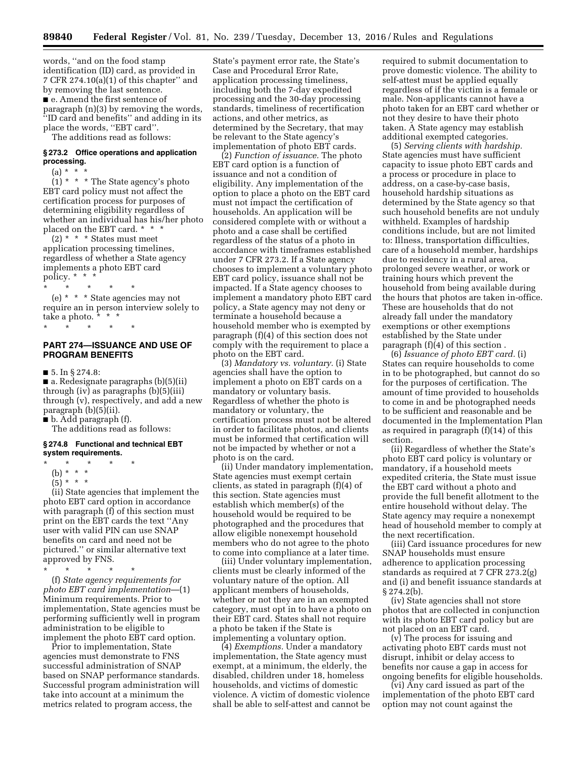words, ''and on the food stamp identification (ID) card, as provided in 7 CFR 274.10(a)(1) of this chapter'' and by removing the last sentence. ■ e. Amend the first sentence of paragraph (n)(3) by removing the words, ''ID card and benefits'' and adding in its place the words, ''EBT card''.

The additions read as follows:

#### **§ 273.2 Office operations and application processing.**

 $(a) * * * *$ 

 $(1)$  \* \* \* The State agency's photo EBT card policy must not affect the certification process for purposes of determining eligibility regardless of whether an individual has his/her photo placed on the EBT card. \* \* \*

 $(2)$  \* \* \* States must meet application processing timelines, regardless of whether a State agency implements a photo EBT card policy. \* \* \* \* \*

\* \* \* \* \* (e) \* \* \* State agencies may not require an in person interview solely to take a photo.  $\frac{1}{x}$  \* \* \* \* \* \* \*

## **PART 274—ISSUANCE AND USE OF PROGRAM BENEFITS**

 $\blacksquare$  5. In § 274.8:

■ a. Redesignate paragraphs (b)(5)(ii) through (iv) as paragraphs (b)(5)(iii) through (v), respectively, and add a new paragraph (b)(5)(ii).

■ b. Add paragraph (f). The additions read as follows:

# **§ 274.8 Functional and technical EBT system requirements.**

- 
- \* \* \* \* \*
- (b) \* \* \*  $(5) * * * *$

(ii) State agencies that implement the photo EBT card option in accordance with paragraph (f) of this section must print on the EBT cards the text ''Any user with valid PIN can use SNAP benefits on card and need not be pictured.'' or similar alternative text approved by FNS.

\* \* \* \* \*

(f) *State agency requirements for photo EBT card implementation*—(1) Minimum requirements. Prior to implementation, State agencies must be performing sufficiently well in program administration to be eligible to implement the photo EBT card option.

Prior to implementation, State agencies must demonstrate to FNS successful administration of SNAP based on SNAP performance standards. Successful program administration will take into account at a minimum the metrics related to program access, the

State's payment error rate, the State's Case and Procedural Error Rate, application processing timeliness, including both the 7-day expedited processing and the 30-day processing standards, timeliness of recertification actions, and other metrics, as determined by the Secretary, that may be relevant to the State agency's implementation of photo EBT cards.

(2) *Function of issuance.* The photo EBT card option is a function of issuance and not a condition of eligibility. Any implementation of the option to place a photo on the EBT card must not impact the certification of households. An application will be considered complete with or without a photo and a case shall be certified regardless of the status of a photo in accordance with timeframes established under 7 CFR 273.2. If a State agency chooses to implement a voluntary photo EBT card policy, issuance shall not be impacted. If a State agency chooses to implement a mandatory photo EBT card policy, a State agency may not deny or terminate a household because a household member who is exempted by paragraph (f)(4) of this section does not comply with the requirement to place a photo on the EBT card.

(3) *Mandatory vs. voluntary.* (i) State agencies shall have the option to implement a photo on EBT cards on a mandatory or voluntary basis. Regardless of whether the photo is mandatory or voluntary, the certification process must not be altered in order to facilitate photos, and clients must be informed that certification will not be impacted by whether or not a photo is on the card.

(ii) Under mandatory implementation, State agencies must exempt certain clients, as stated in paragraph (f)(4) of this section. State agencies must establish which member(s) of the household would be required to be photographed and the procedures that allow eligible nonexempt household members who do not agree to the photo to come into compliance at a later time.

(iii) Under voluntary implementation, clients must be clearly informed of the voluntary nature of the option. All applicant members of households, whether or not they are in an exempted category, must opt in to have a photo on their EBT card. States shall not require a photo be taken if the State is implementing a voluntary option.

(4) *Exemptions.* Under a mandatory implementation, the State agency must exempt, at a minimum, the elderly, the disabled, children under 18, homeless households, and victims of domestic violence. A victim of domestic violence shall be able to self-attest and cannot be required to submit documentation to prove domestic violence. The ability to self-attest must be applied equally regardless of if the victim is a female or male. Non-applicants cannot have a photo taken for an EBT card whether or not they desire to have their photo taken. A State agency may establish additional exempted categories.

(5) *Serving clients with hardship.*  State agencies must have sufficient capacity to issue photo EBT cards and a process or procedure in place to address, on a case-by-case basis, household hardship situations as determined by the State agency so that such household benefits are not unduly withheld. Examples of hardship conditions include, but are not limited to: Illness, transportation difficulties, care of a household member, hardships due to residency in a rural area, prolonged severe weather, or work or training hours which prevent the household from being available during the hours that photos are taken in-office. These are households that do not already fall under the mandatory exemptions or other exemptions established by the State under paragraph (f)(4) of this section .

(6) *Issuance of photo EBT card.* (i) States can require households to come in to be photographed, but cannot do so for the purposes of certification. The amount of time provided to households to come in and be photographed needs to be sufficient and reasonable and be documented in the Implementation Plan as required in paragraph (f)(14) of this section.

(ii) Regardless of whether the State's photo EBT card policy is voluntary or mandatory, if a household meets expedited criteria, the State must issue the EBT card without a photo and provide the full benefit allotment to the entire household without delay. The State agency may require a nonexempt head of household member to comply at the next recertification.

(iii) Card issuance procedures for new SNAP households must ensure adherence to application processing standards as required at 7 CFR 273.2(g) and (i) and benefit issuance standards at § 274.2(b).

(iv) State agencies shall not store photos that are collected in conjunction with its photo EBT card policy but are not placed on an EBT card.

(v) The process for issuing and activating photo EBT cards must not disrupt, inhibit or delay access to benefits nor cause a gap in access for ongoing benefits for eligible households.

(vi) Any card issued as part of the implementation of the photo EBT card option may not count against the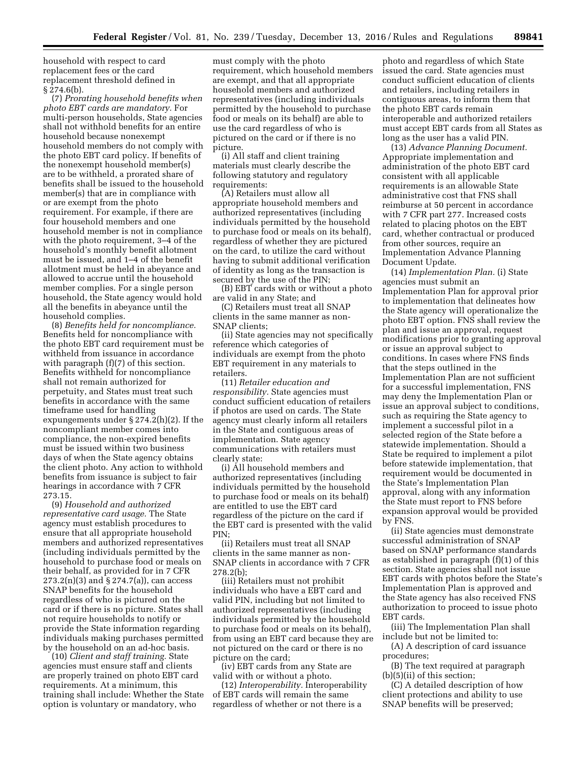household with respect to card replacement fees or the card replacement threshold defined in  $§$  274.6(b).

(7) *Prorating household benefits when photo EBT cards are mandatory.* For multi-person households, State agencies shall not withhold benefits for an entire household because nonexempt household members do not comply with the photo EBT card policy. If benefits of the nonexempt household member(s) are to be withheld, a prorated share of benefits shall be issued to the household member(s) that are in compliance with or are exempt from the photo requirement. For example, if there are four household members and one household member is not in compliance with the photo requirement, 3-4 of the household's monthly benefit allotment must be issued, and 1–4 of the benefit allotment must be held in abeyance and allowed to accrue until the household member complies. For a single person household, the State agency would hold all the benefits in abeyance until the household complies.

(8) *Benefits held for noncompliance.*  Benefits held for noncompliance with the photo EBT card requirement must be withheld from issuance in accordance with paragraph  $(f)(7)$  of this section. Benefits withheld for noncompliance shall not remain authorized for perpetuity, and States must treat such benefits in accordance with the same timeframe used for handling expungements under § 274.2(h)(2). If the noncompliant member comes into compliance, the non-expired benefits must be issued within two business days of when the State agency obtains the client photo. Any action to withhold benefits from issuance is subject to fair hearings in accordance with 7 CFR 273.15.

(9) *Household and authorized representative card usage.* The State agency must establish procedures to ensure that all appropriate household members and authorized representatives (including individuals permitted by the household to purchase food or meals on their behalf, as provided for in 7 CFR  $273.2(n)(3)$  and §  $274.7(a)$ , can access SNAP benefits for the household regardless of who is pictured on the card or if there is no picture. States shall not require households to notify or provide the State information regarding individuals making purchases permitted by the household on an ad-hoc basis.

(10) *Client and staff training.* State agencies must ensure staff and clients are properly trained on photo EBT card requirements. At a minimum, this training shall include: Whether the State option is voluntary or mandatory, who

must comply with the photo requirement, which household members are exempt, and that all appropriate household members and authorized representatives (including individuals permitted by the household to purchase food or meals on its behalf) are able to use the card regardless of who is pictured on the card or if there is no picture.

(i) All staff and client training materials must clearly describe the following statutory and regulatory requirements:

(A) Retailers must allow all appropriate household members and authorized representatives (including individuals permitted by the household to purchase food or meals on its behalf), regardless of whether they are pictured on the card, to utilize the card without having to submit additional verification of identity as long as the transaction is secured by the use of the PIN;

(B) EBT cards with or without a photo are valid in any State; and

(C) Retailers must treat all SNAP clients in the same manner as non-SNAP clients;

(ii) State agencies may not specifically reference which categories of individuals are exempt from the photo EBT requirement in any materials to retailers.

(11) *Retailer education and responsibility.* State agencies must conduct sufficient education of retailers if photos are used on cards. The State agency must clearly inform all retailers in the State and contiguous areas of implementation. State agency communications with retailers must clearly state:

(i) All household members and authorized representatives (including individuals permitted by the household to purchase food or meals on its behalf) are entitled to use the EBT card regardless of the picture on the card if the EBT card is presented with the valid PIN;

(ii) Retailers must treat all SNAP clients in the same manner as non-SNAP clients in accordance with 7 CFR 278.2(b);

(iii) Retailers must not prohibit individuals who have a EBT card and valid PIN, including but not limited to authorized representatives (including individuals permitted by the household to purchase food or meals on its behalf), from using an EBT card because they are not pictured on the card or there is no picture on the card;

(iv) EBT cards from any State are valid with or without a photo.

(12) *Interoperability.* Interoperability of EBT cards will remain the same regardless of whether or not there is a

photo and regardless of which State issued the card. State agencies must conduct sufficient education of clients and retailers, including retailers in contiguous areas, to inform them that the photo EBT cards remain interoperable and authorized retailers must accept EBT cards from all States as long as the user has a valid PIN.

(13) *Advance Planning Document.*  Appropriate implementation and administration of the photo EBT card consistent with all applicable requirements is an allowable State administrative cost that FNS shall reimburse at 50 percent in accordance with 7 CFR part 277. Increased costs related to placing photos on the EBT card, whether contractual or produced from other sources, require an Implementation Advance Planning Document Update.

(14) *Implementation Plan.* (i) State agencies must submit an Implementation Plan for approval prior to implementation that delineates how the State agency will operationalize the photo EBT option. FNS shall review the plan and issue an approval, request modifications prior to granting approval or issue an approval subject to conditions. In cases where FNS finds that the steps outlined in the Implementation Plan are not sufficient for a successful implementation, FNS may deny the Implementation Plan or issue an approval subject to conditions, such as requiring the State agency to implement a successful pilot in a selected region of the State before a statewide implementation. Should a State be required to implement a pilot before statewide implementation, that requirement would be documented in the State's Implementation Plan approval, along with any information the State must report to FNS before expansion approval would be provided by FNS.

(ii) State agencies must demonstrate successful administration of SNAP based on SNAP performance standards as established in paragraph (f)(1) of this section. State agencies shall not issue EBT cards with photos before the State's Implementation Plan is approved and the State agency has also received FNS authorization to proceed to issue photo EBT cards.

(iii) The Implementation Plan shall include but not be limited to:

(A) A description of card issuance procedures;

(B) The text required at paragraph (b)(5)(ii) of this section;

(C) A detailed description of how client protections and ability to use SNAP benefits will be preserved;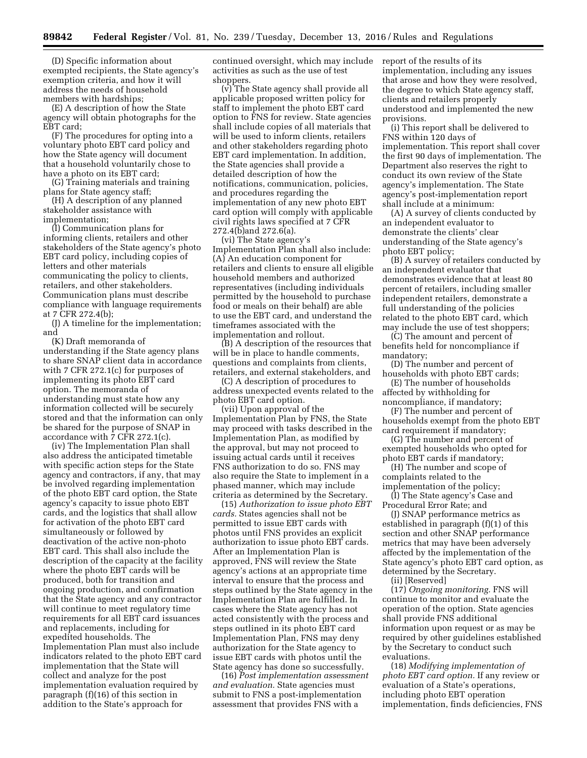(D) Specific information about exempted recipients, the State agency's exemption criteria, and how it will address the needs of household members with hardships;

(E) A description of how the State agency will obtain photographs for the EBT card;

(F) The procedures for opting into a voluntary photo EBT card policy and how the State agency will document that a household voluntarily chose to have a photo on its EBT card;

(G) Training materials and training plans for State agency staff;

(H) A description of any planned stakeholder assistance with implementation;

(I) Communication plans for informing clients, retailers and other stakeholders of the State agency's photo EBT card policy, including copies of letters and other materials communicating the policy to clients, retailers, and other stakeholders. Communication plans must describe compliance with language requirements at 7 CFR 272.4(b);

(J) A timeline for the implementation; and

(K) Draft memoranda of understanding if the State agency plans to share SNAP client data in accordance with 7 CFR 272.1(c) for purposes of implementing its photo EBT card option. The memoranda of understanding must state how any information collected will be securely stored and that the information can only be shared for the purpose of SNAP in accordance with 7 CFR 272.1(c).

(iv) The Implementation Plan shall also address the anticipated timetable with specific action steps for the State agency and contractors, if any, that may be involved regarding implementation of the photo EBT card option, the State agency's capacity to issue photo EBT cards, and the logistics that shall allow for activation of the photo EBT card simultaneously or followed by deactivation of the active non-photo EBT card. This shall also include the description of the capacity at the facility where the photo EBT cards will be produced, both for transition and ongoing production, and confirmation that the State agency and any contractor will continue to meet regulatory time requirements for all EBT card issuances and replacements, including for expedited households. The Implementation Plan must also include indicators related to the photo EBT card implementation that the State will collect and analyze for the post implementation evaluation required by paragraph (f)(16) of this section in addition to the State's approach for

continued oversight, which may include activities as such as the use of test shoppers.

(v) The State agency shall provide all applicable proposed written policy for staff to implement the photo EBT card option to FNS for review. State agencies shall include copies of all materials that will be used to inform clients, retailers and other stakeholders regarding photo EBT card implementation. In addition, the State agencies shall provide a detailed description of how the notifications, communication, policies, and procedures regarding the implementation of any new photo EBT card option will comply with applicable civil rights laws specified at 7 CFR 272.4(b)and 272.6(a).

(vi) The State agency's Implementation Plan shall also include: (A) An education component for retailers and clients to ensure all eligible household members and authorized representatives (including individuals permitted by the household to purchase food or meals on their behalf) are able to use the EBT card, and understand the timeframes associated with the implementation and rollout.

(B) A description of the resources that will be in place to handle comments, questions and complaints from clients, retailers, and external stakeholders, and

(C) A description of procedures to address unexpected events related to the photo EBT card option.

(vii) Upon approval of the Implementation Plan by FNS, the State may proceed with tasks described in the Implementation Plan, as modified by the approval, but may not proceed to issuing actual cards until it receives FNS authorization to do so. FNS may also require the State to implement in a phased manner, which may include criteria as determined by the Secretary.

(15) *Authorization to issue photo EBT cards.* States agencies shall not be permitted to issue EBT cards with photos until FNS provides an explicit authorization to issue photo EBT cards. After an Implementation Plan is approved, FNS will review the State agency's actions at an appropriate time interval to ensure that the process and steps outlined by the State agency in the Implementation Plan are fulfilled. In cases where the State agency has not acted consistently with the process and steps outlined in its photo EBT card Implementation Plan, FNS may deny authorization for the State agency to issue EBT cards with photos until the State agency has done so successfully.

(16) *Post implementation assessment and evaluation.* State agencies must submit to FNS a post-implementation assessment that provides FNS with a

report of the results of its implementation, including any issues that arose and how they were resolved, the degree to which State agency staff, clients and retailers properly understood and implemented the new provisions.

(i) This report shall be delivered to FNS within 120 days of implementation. This report shall cover the first 90 days of implementation. The Department also reserves the right to conduct its own review of the State agency's implementation. The State agency's post-implementation report shall include at a minimum:

(A) A survey of clients conducted by an independent evaluator to demonstrate the clients' clear understanding of the State agency's photo EBT policy;

(B) A survey of retailers conducted by an independent evaluator that demonstrates evidence that at least 80 percent of retailers, including smaller independent retailers, demonstrate a full understanding of the policies related to the photo EBT card, which may include the use of test shoppers;

(C) The amount and percent of benefits held for noncompliance if mandatory;

(D) The number and percent of households with photo EBT cards;

(E) The number of households affected by withholding for noncompliance, if mandatory;

(F) The number and percent of households exempt from the photo EBT card requirement if mandatory;

(G) The number and percent of exempted households who opted for photo EBT cards if mandatory;

(H) The number and scope of complaints related to the

implementation of the policy; (I) The State agency's Case and Procedural Error Rate; and

(J) SNAP performance metrics as established in paragraph (f)(1) of this section and other SNAP performance metrics that may have been adversely affected by the implementation of the State agency's photo EBT card option, as determined by the Secretary.

(ii) [Reserved]

(17) *Ongoing monitoring.* FNS will continue to monitor and evaluate the operation of the option. State agencies shall provide FNS additional information upon request or as may be required by other guidelines established by the Secretary to conduct such evaluations.

(18) *Modifying implementation of photo EBT card option.* If any review or evaluation of a State's operations, including photo EBT operation implementation, finds deficiencies, FNS